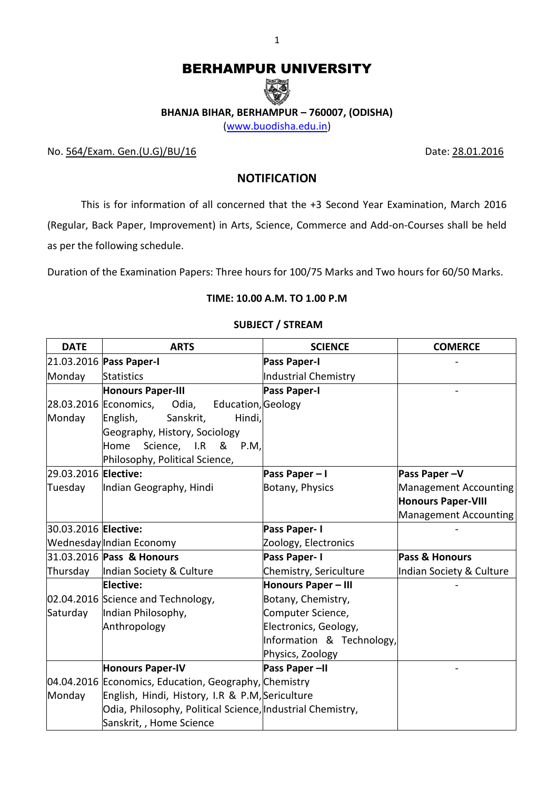# BERHAMPUR UNIVERSITY



**BHANJA BIHAR, BERHAMPUR – 760007, (ODISHA)**

[\(www.buodisha.edu.in\)](http://www.buodisha.edu.in/)

No. 564/Exam. Gen.(U.G)/BU/16 Date: 28.01.2016

## **NOTIFICATION**

This is for information of all concerned that the +3 Second Year Examination, March 2016 (Regular, Back Paper, Improvement) in Arts, Science, Commerce and Add-on-Courses shall be held as per the following schedule.

Duration of the Examination Papers: Three hours for 100/75 Marks and Two hours for 60/50 Marks.

# **TIME: 10.00 A.M. TO 1.00 P.M**

### **SUBJECT / STREAM**

| <b>DATE</b>          | <b>ARTS</b>                                                | <b>SCIENCE</b>             | <b>COMERCE</b>            |
|----------------------|------------------------------------------------------------|----------------------------|---------------------------|
|                      | 21.03.2016 Pass Paper-I                                    | <b>Pass Paper-I</b>        |                           |
| Monday               | <b>Statistics</b>                                          | Industrial Chemistry       |                           |
|                      | <b>Honours Paper-III</b>                                   | <b>Pass Paper-I</b>        |                           |
|                      | 28.03.2016 Economics,<br>Education, Geology<br>Odia,       |                            |                           |
| Monday               | English,<br>Sanskrit,<br>Hindi,                            |                            |                           |
|                      | Geography, History, Sociology                              |                            |                           |
|                      | Science, I.R<br>Home<br>&<br>P.M,                          |                            |                           |
|                      | Philosophy, Political Science,                             |                            |                           |
| 29.03.2016 Elective: |                                                            | Pass Paper-I               | Pass Paper-V              |
| Tuesday              | Indian Geography, Hindi                                    | Botany, Physics            | Management Accounting     |
|                      |                                                            |                            | <b>Honours Paper-VIII</b> |
|                      |                                                            |                            | Management Accounting     |
| 30.03.2016 Elective: |                                                            | Pass Paper-I               |                           |
|                      | Wednesday Indian Economy                                   | Zoology, Electronics       |                           |
|                      | 31.03.2016 Pass & Honours                                  | Pass Paper-I               | Pass & Honours            |
| Thursday             | Indian Society & Culture                                   | Chemistry, Sericulture     | Indian Society & Culture  |
|                      | <b>Elective:</b>                                           | <b>Honours Paper - III</b> |                           |
|                      | 02.04.2016 Science and Technology,                         | Botany, Chemistry,         |                           |
| Saturday             | Indian Philosophy,                                         | Computer Science,          |                           |
|                      | Anthropology                                               | Electronics, Geology,      |                           |
|                      |                                                            | Information & Technology,  |                           |
|                      |                                                            | Physics, Zoology           |                           |
|                      | <b>Honours Paper-IV</b>                                    | Pass Paper-II              |                           |
|                      | 04.04.2016 Economics, Education, Geography, Chemistry      |                            |                           |
| Monday               | English, Hindi, History, I.R & P.M, Sericulture            |                            |                           |
|                      | Odia, Philosophy, Political Science, Industrial Chemistry, |                            |                           |
|                      | Sanskrit,, Home Science                                    |                            |                           |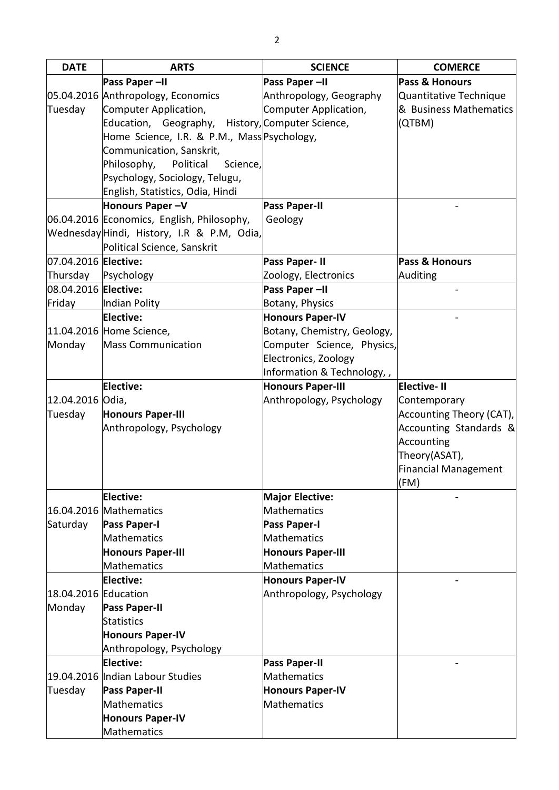| <b>DATE</b>          | <b>ARTS</b>                                      | <b>SCIENCE</b>              | <b>COMERCE</b>           |
|----------------------|--------------------------------------------------|-----------------------------|--------------------------|
|                      | Pass Paper-II                                    | Pass Paper-II               | Pass & Honours           |
|                      | 05.04.2016 Anthropology, Economics               | Anthropology, Geography     | Quantitative Technique   |
| Tuesday              | Computer Application,                            | Computer Application,       | & Business Mathematics   |
|                      | Education, Geography, History, Computer Science, |                             | (QTBM)                   |
|                      | Home Science, I.R. & P.M., Mass Psychology,      |                             |                          |
|                      | Communication, Sanskrit,                         |                             |                          |
|                      | Philosophy,<br>Political<br>Science,             |                             |                          |
|                      | Psychology, Sociology, Telugu,                   |                             |                          |
|                      | English, Statistics, Odia, Hindi                 |                             |                          |
|                      | Honours Paper-V                                  | <b>Pass Paper-II</b>        |                          |
|                      | 06.04.2016 Economics, English, Philosophy,       | Geology                     |                          |
|                      | Wednesday Hindi, History, I.R & P.M, Odia,       |                             |                          |
|                      | Political Science, Sanskrit                      |                             |                          |
| 07.04.2016 Elective: |                                                  | Pass Paper-II               | Pass & Honours           |
| Thursday             | Psychology                                       | Zoology, Electronics        | Auditing                 |
| 08.04.2016 Elective: |                                                  | Pass Paper-II               |                          |
| Friday               | Indian Polity                                    | Botany, Physics             |                          |
|                      | Elective:                                        | <b>Honours Paper-IV</b>     |                          |
|                      | 11.04.2016 Home Science,                         | Botany, Chemistry, Geology, |                          |
| Monday               | <b>Mass Communication</b>                        | Computer Science, Physics,  |                          |
|                      |                                                  | Electronics, Zoology        |                          |
|                      |                                                  | Information & Technology,,  |                          |
|                      | <b>Elective:</b>                                 | <b>Honours Paper-III</b>    | <b>Elective-II</b>       |
| 12.04.2016 Odia,     |                                                  | Anthropology, Psychology    | Contemporary             |
| Tuesday              | <b>Honours Paper-III</b>                         |                             | Accounting Theory (CAT), |
|                      | Anthropology, Psychology                         |                             | Accounting Standards &   |
|                      |                                                  |                             | Accounting               |
|                      |                                                  |                             | Theory(ASAT),            |
|                      |                                                  |                             | Financial Management     |
|                      |                                                  |                             | (FM)                     |
|                      | Elective:                                        | <b>Major Elective:</b>      |                          |
|                      | 16.04.2016 Mathematics                           | <b>Mathematics</b>          |                          |
| Saturday             | <b>Pass Paper-I</b>                              | <b>Pass Paper-I</b>         |                          |
|                      | Mathematics                                      | <b>Mathematics</b>          |                          |
|                      | <b>Honours Paper-III</b>                         | <b>Honours Paper-III</b>    |                          |
|                      | Mathematics                                      | <b>Mathematics</b>          |                          |
|                      | Elective:                                        | <b>Honours Paper-IV</b>     |                          |
| 18.04.2016 Education |                                                  | Anthropology, Psychology    |                          |
| Monday               | <b>Pass Paper-II</b>                             |                             |                          |
|                      | <b>Statistics</b>                                |                             |                          |
|                      | <b>Honours Paper-IV</b>                          |                             |                          |
|                      | Anthropology, Psychology                         |                             |                          |
|                      | Elective:                                        | <b>Pass Paper-II</b>        |                          |
|                      | 19.04.2016 Indian Labour Studies                 | <b>Mathematics</b>          |                          |
| Tuesday              | <b>Pass Paper-II</b>                             | <b>Honours Paper-IV</b>     |                          |
|                      | Mathematics                                      | <b>Mathematics</b>          |                          |
|                      | <b>Honours Paper-IV</b>                          |                             |                          |
|                      | Mathematics                                      |                             |                          |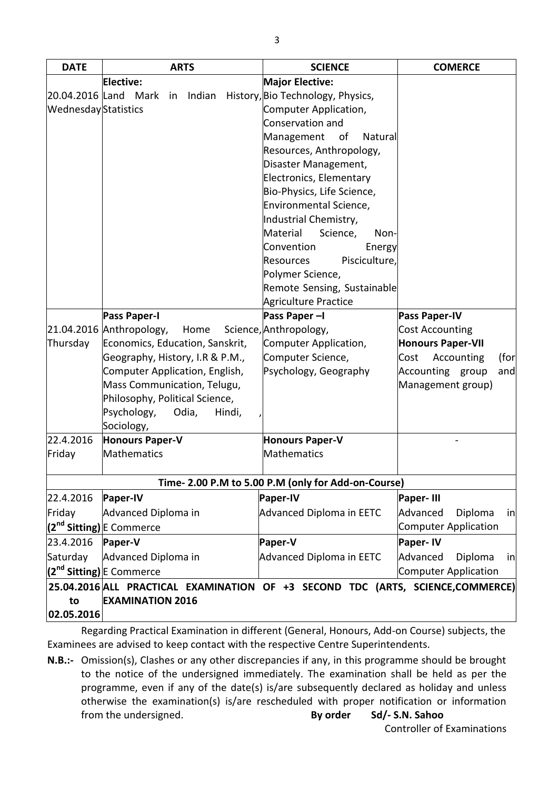| <b>DATE</b>         | <b>ARTS</b>                                                                    | <b>SCIENCE</b>                                      | <b>COMERCE</b>              |
|---------------------|--------------------------------------------------------------------------------|-----------------------------------------------------|-----------------------------|
|                     | Elective:                                                                      | <b>Major Elective:</b>                              |                             |
|                     | Indian<br>20.04.2016 Land Mark<br>in                                           | History, Bio Technology, Physics,                   |                             |
| WednesdayStatistics |                                                                                | Computer Application,                               |                             |
|                     |                                                                                | Conservation and                                    |                             |
|                     |                                                                                | of<br>Management<br><b>Natural</b>                  |                             |
|                     |                                                                                | Resources, Anthropology,                            |                             |
|                     |                                                                                | Disaster Management,                                |                             |
|                     |                                                                                | <b>Electronics, Elementary</b>                      |                             |
|                     |                                                                                | Bio-Physics, Life Science,                          |                             |
|                     |                                                                                | Environmental Science,                              |                             |
|                     |                                                                                | Industrial Chemistry,                               |                             |
|                     |                                                                                | Science,<br>Material<br>Non-                        |                             |
|                     |                                                                                | Convention<br>Energy                                |                             |
|                     |                                                                                | Pisciculture,<br><b>Resources</b>                   |                             |
|                     |                                                                                | Polymer Science,                                    |                             |
|                     |                                                                                | Remote Sensing, Sustainable                         |                             |
|                     |                                                                                | Agriculture Practice                                |                             |
|                     | <b>Pass Paper-I</b>                                                            | Pass Paper-I                                        | <b>Pass Paper-IV</b>        |
|                     | 21.04.2016 Anthropology,<br>Home                                               | Science, Anthropology,                              | <b>Cost Accounting</b>      |
| Thursday            | Economics, Education, Sanskrit,                                                | Computer Application,                               | <b>Honours Paper-VII</b>    |
|                     | Geography, History, I.R & P.M.,                                                | Computer Science,                                   | Accounting<br>Cost<br>(for  |
|                     | Computer Application, English,                                                 | Psychology, Geography                               | Accounting group<br>and     |
|                     | Mass Communication, Telugu,                                                    |                                                     | Management group)           |
|                     | Philosophy, Political Science,                                                 |                                                     |                             |
|                     | Psychology,<br>Odia,<br>Hindi,                                                 |                                                     |                             |
|                     | Sociology,                                                                     |                                                     |                             |
| 22.4.2016           | <b>Honours Paper-V</b>                                                         | <b>Honours Paper-V</b>                              |                             |
| Friday              | Mathematics                                                                    | <b>Mathematics</b>                                  |                             |
|                     |                                                                                |                                                     |                             |
|                     |                                                                                | Time- 2.00 P.M to 5.00 P.M (only for Add-on-Course) |                             |
| 22.4.2016           | Paper-IV                                                                       | Paper-IV                                            | Paper-III                   |
| Friday              | Advanced Diploma in                                                            | Advanced Diploma in EETC                            | Advanced<br>Diploma<br>in   |
|                     | (2 <sup>nd</sup> Sitting) E Commerce                                           |                                                     | <b>Computer Application</b> |
| 23.4.2016           | Paper-V                                                                        | Paper-V                                             | <b>Paper-IV</b>             |
| Saturday            | Advanced Diploma in                                                            | <b>Advanced Diploma in EETC</b>                     | Advanced<br>Diploma<br>in   |
|                     | (2 <sup>nd</sup> Sitting) E Commerce                                           |                                                     | <b>Computer Application</b> |
|                     | 25.04.2016 ALL PRACTICAL EXAMINATION OF +3 SECOND TDC (ARTS, SCIENCE,COMMERCE) |                                                     |                             |
| to                  | <b>EXAMINATION 2016</b>                                                        |                                                     |                             |
| 02.05.2016          |                                                                                |                                                     |                             |

Regarding Practical Examination in different (General, Honours, Add-on Course) subjects, the Examinees are advised to keep contact with the respective Centre Superintendents.

**N.B.:-** Omission(s), Clashes or any other discrepancies if any, in this programme should be brought to the notice of the undersigned immediately. The examination shall be held as per the programme, even if any of the date(s) is/are subsequently declared as holiday and unless otherwise the examination(s) is/are rescheduled with proper notification or information from the undersigned. **By order Sd/- S.N. Sahoo**

Controller of Examinations